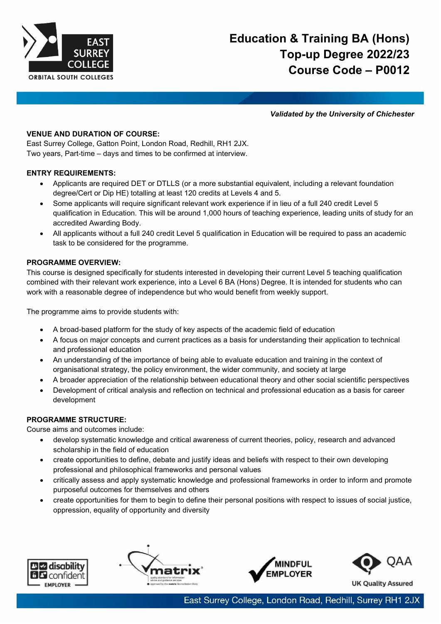

*Validated by the University of Chichester*

## **VENUE AND DURATION OF COURSE:**

East Surrey College, Gatton Point, London Road, Redhill, RH1 2JX. Two years, Part-time – days and times to be confirmed at interview.

### **ENTRY REQUIREMENTS:**

- Applicants are required DET or DTLLS (or a more substantial equivalent, including a relevant foundation degree/Cert or Dip HE) totalling at least 120 credits at Levels 4 and 5.
- Some applicants will require significant relevant work experience if in lieu of a full 240 credit Level 5 qualification in Education. This will be around 1,000 hours of teaching experience, leading units of study for an accredited Awarding Body.
- All applicants without a full 240 credit Level 5 qualification in Education will be required to pass an academic task to be considered for the programme.

### **PROGRAMME OVERVIEW:**

This course is designed specifically for students interested in developing their current Level 5 teaching qualification combined with their relevant work experience, into a Level 6 BA (Hons) Degree. It is intended for students who can work with a reasonable degree of independence but who would benefit from weekly support.

The programme aims to provide students with:

- A broad-based platform for the study of key aspects of the academic field of education
- A focus on major concepts and current practices as a basis for understanding their application to technical and professional education
- An understanding of the importance of being able to evaluate education and training in the context of organisational strategy, the policy environment, the wider community, and society at large
- A broader appreciation of the relationship between educational theory and other social scientific perspectives
- Development of critical analysis and reflection on technical and professional education as a basis for career development

# **PROGRAMME STRUCTURE:**

Course aims and outcomes include:

- develop systematic knowledge and critical awareness of current theories, policy, research and advanced scholarship in the field of education
- create opportunities to define, debate and justify ideas and beliefs with respect to their own developing professional and philosophical frameworks and personal values
- critically assess and apply systematic knowledge and professional frameworks in order to inform and promote purposeful outcomes for themselves and others
- create opportunities for them to begin to define their personal positions with respect to issues of social justice, oppression, equality of opportunity and diversity